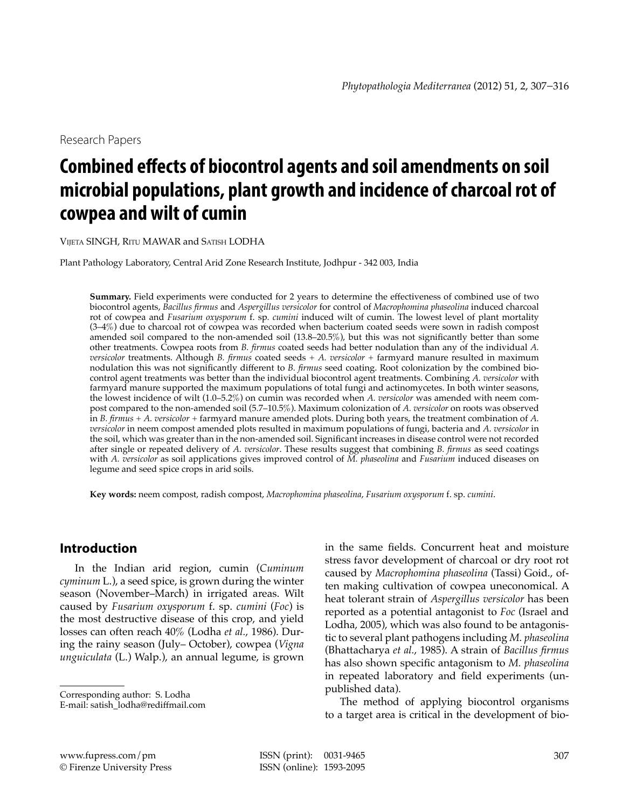Research Papers

# **Combined effects of biocontrol agents and soil amendments on soil microbial populations, plant growth and incidence of charcoal rot of cowpea and wilt of cumin**

Vijeta SINGH, Ritu MAWAR and Satish LODHA

Plant Pathology Laboratory, Central Arid Zone Research Institute, Jodhpur - 342 003, India

**Summary.** Field experiments were conducted for 2 years to determine the effectiveness of combined use of two biocontrol agents, *Bacillus firmus* and *Aspergillus versicolor* for control of *Macrophomina phaseolina* induced charcoal rot of cowpea and *Fusarium oxysporum* f. sp*. cumini* induced wilt of cumin. The lowest level of plant mortality (3‒4%) due to charcoal rot of cowpea was recorded when bacterium coated seeds were sown in radish compost amended soil compared to the non-amended soil (13.8–20.5%), but this was not significantly better than some other treatments. Cowpea roots from *B. firmus* coated seeds had better nodulation than any of the individual *A. versicolor* treatments. Although *B. firmus* coated seeds + *A. versicolor* + farmyard manure resulted in maximum nodulation this was not significantly different to *B. firmus* seed coating. Root colonization by the combined biocontrol agent treatments was better than the individual biocontrol agent treatments. Combining *A. versicolor* with farmyard manure supported the maximum populations of total fungi and actinomycetes. In both winter seasons, the lowest incidence of wilt (1.0–5.2%) on cumin was recorded when *A. versicolor* was amended with neem compost compared to the non-amended soil (5.7‒10.5%). Maximum colonization of *A. versicolor* on roots was observed in *B. firmus* + *A. versicolor* + farmyard manure amended plots. During both years, the treatment combination of *A. versicolor* in neem compost amended plots resulted in maximum populations of fungi, bacteria and *A. versicolor* in the soil, which was greater than in the non-amended soil. Significant increases in disease control were not recorded after single or repeated delivery of *A. versicolor*. These results suggest that combining *B. firmus* as seed coatings with *A. versicolor* as soil applications gives improved control of *M. phaseolina* and *Fusarium* induced diseases on legume and seed spice crops in arid soils.

**Key words:** neem compost, radish compost, *Macrophomina phaseolina*, *Fusarium oxysporum* f. sp. *cumini*.

# **Introduction**

In the Indian arid region, cumin (*Cuminum cyminum* L.), a seed spice, is grown during the winter season (November–March) in irrigated areas. Wilt caused by *Fusarium oxysporum* f. sp. *cumini* (*Foc*) is the most destructive disease of this crop, and yield losses can often reach 40% (Lodha *et al.*, 1986). During the rainy season (July‒ October), cowpea (*Vigna unguiculata* (L.) Walp.), an annual legume, is grown

Corresponding author: S. Lodha

in the same fields. Concurrent heat and moisture stress favor development of charcoal or dry root rot caused by *Macrophomina phaseolina* (Tassi) Goid., often making cultivation of cowpea uneconomical. A heat tolerant strain of *Aspergillus versicolor* has been reported as a potential antagonist to *Foc* (Israel and Lodha, 2005), which was also found to be antagonistic to several plant pathogens including *M. phaseolina* (Bhattacharya *et al.*, 1985). A strain of *Bacillus firmus* has also shown specific antagonism to *M. phaseolina* in repeated laboratory and field experiments (unpublished data).

The method of applying biocontrol organisms to a target area is critical in the development of bio-

E-mail: satish\_lodha@rediffmail.com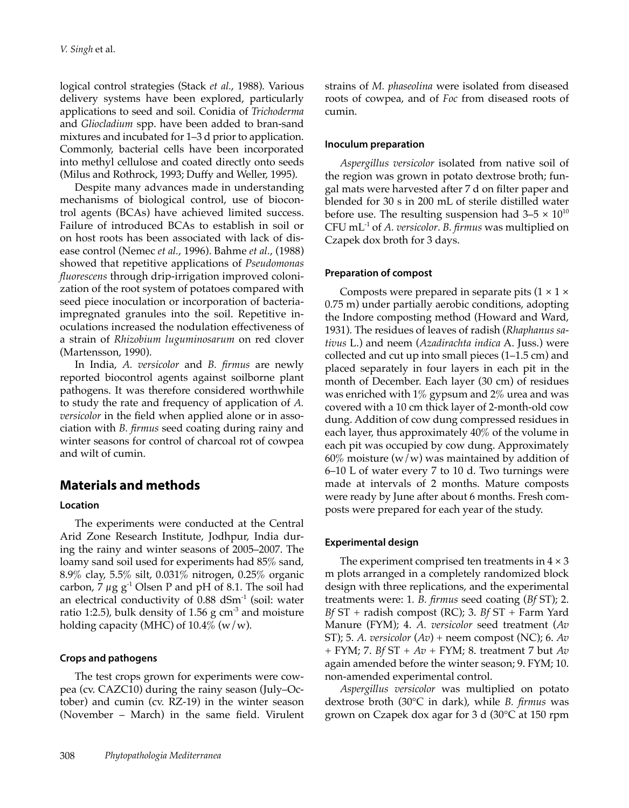logical control strategies (Stack *et al.*, 1988). Various delivery systems have been explored, particularly applications to seed and soil. Conidia of *Trichoderma* and *Gliocladium* spp. have been added to bran-sand mixtures and incubated for 1–3 d prior to application. Commonly, bacterial cells have been incorporated into methyl cellulose and coated directly onto seeds (Milus and Rothrock, 1993; Duffy and Weller, 1995).

Despite many advances made in understanding mechanisms of biological control, use of biocontrol agents (BCAs) have achieved limited success. Failure of introduced BCAs to establish in soil or on host roots has been associated with lack of disease control (Nemec *et al.*, 1996). Bahme *et al.*, (1988) showed that repetitive applications of *Pseudomonas fluorescens* through drip-irrigation improved colonization of the root system of potatoes compared with seed piece inoculation or incorporation of bacteriaimpregnated granules into the soil. Repetitive inoculations increased the nodulation effectiveness of a strain of *Rhizobium luguminosarum* on red clover (Martensson, 1990).

In India, *A. versicolor* and *B. firmus* are newly reported biocontrol agents against soilborne plant pathogens. It was therefore considered worthwhile to study the rate and frequency of application of *A. versicolor* in the field when applied alone or in association with *B. firmus* seed coating during rainy and winter seasons for control of charcoal rot of cowpea and wilt of cumin.

# **Materials and methods**

#### **Location**

The experiments were conducted at the Central Arid Zone Research Institute, Jodhpur, India during the rainy and winter seasons of 2005–2007. The loamy sand soil used for experiments had 85% sand, 8.9% clay, 5.5% silt, 0.031% nitrogen, 0.25% organic carbon, 7  $\mu$ g g<sup>-1</sup> Olsen P and pH of 8.1. The soil had an electrical conductivity of 0.88 dSm-1 (soil: water ratio 1:2.5), bulk density of 1.56 g  $cm<sup>3</sup>$  and moisture holding capacity (MHC) of  $10.4\%$  (w/w).

## **Crops and pathogens**

The test crops grown for experiments were cowpea (cv. CAZC10) during the rainy season (July–October) and cumin (cv. RZ-19) in the winter season (November ‒ March) in the same field. Virulent strains of *M. phaseolina* were isolated from diseased roots of cowpea, and of *Foc* from diseased roots of cumin.

#### **Inoculum preparation**

*Aspergillus versicolor* isolated from native soil of the region was grown in potato dextrose broth; fungal mats were harvested after 7 d on filter paper and blended for 30 s in 200 mL of sterile distilled water before use. The resulting suspension had  $3-5 \times 10^{10}$ CFU mL-1 of *A. versicolor*. *B. firmus* was multiplied on Czapek dox broth for 3 days.

#### **Preparation of compost**

Composts were prepared in separate pits  $(1 \times 1 \times$ 0.75 m) under partially aerobic conditions, adopting the Indore composting method (Howard and Ward, 1931). The residues of leaves of radish (*Rhaphanus sativus* L.) and neem (*Azadirachta indica* A. Juss.) were collected and cut up into small pieces (1–1.5 cm) and placed separately in four layers in each pit in the month of December. Each layer (30 cm) of residues was enriched with 1% gypsum and 2% urea and was covered with a 10 cm thick layer of 2-month-old cow dung. Addition of cow dung compressed residues in each layer, thus approximately 40% of the volume in each pit was occupied by cow dung. Approximately  $60\%$  moisture (w/w) was maintained by addition of 6‒10 L of water every 7 to 10 d. Two turnings were made at intervals of 2 months. Mature composts were ready by June after about 6 months. Fresh composts were prepared for each year of the study.

## **Experimental design**

The experiment comprised ten treatments in  $4 \times 3$ m plots arranged in a completely randomized block design with three replications, and the experimental treatments were: 1*. B. firmus* seed coating (*Bf* ST); 2. *Bf* ST + radish compost (RC); 3. *Bf* ST + Farm Yard Manure (FYM); 4. *A. versicolor* seed treatment (*Av* ST); 5. *A. versicolor* (*Av*) + neem compost (NC); 6. *Av +* FYM; 7. *Bf* ST *+ Av +* FYM; 8. treatment 7 but *Av* again amended before the winter season; 9. FYM; 10. non-amended experimental control.

*Aspergillus versicolor* was multiplied on potato dextrose broth (30°C in dark), while *B. firmus* was grown on Czapek dox agar for 3 d (30°C at 150 rpm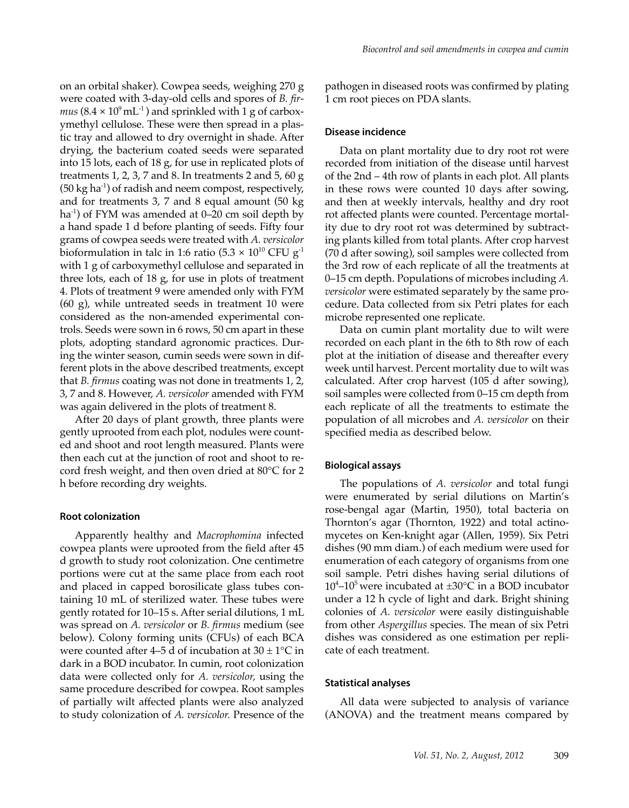on an orbital shaker). Cowpea seeds, weighing 270 g were coated with 3-day-old cells and spores of *B. fir* $mus (8.4 \times 10^9 \text{mL}^{-1})$  and sprinkled with 1 g of carboxymethyl cellulose. These were then spread in a plastic tray and allowed to dry overnight in shade. After drying, the bacterium coated seeds were separated into 15 lots, each of 18 g, for use in replicated plots of treatments 1, 2, 3, 7 and 8. In treatments 2 and 5, 60 g  $(50 \text{ kg ha}^{-1})$  of radish and neem compost, respectively, and for treatments 3, 7 and 8 equal amount (50 kg ha<sup>-1</sup>) of FYM was amended at 0–20 cm soil depth by a hand spade 1 d before planting of seeds. Fifty four grams of cowpea seeds were treated with *A. versicolor* bioformulation in talc in 1:6 ratio (5.3  $\times$  10<sup>10</sup> CFU g<sup>-1</sup> with 1 g of carboxymethyl cellulose and separated in three lots, each of 18 g, for use in plots of treatment 4. Plots of treatment 9 were amended only with FYM (60 g), while untreated seeds in treatment 10 were considered as the non-amended experimental controls. Seeds were sown in 6 rows, 50 cm apart in these plots, adopting standard agronomic practices. During the winter season, cumin seeds were sown in different plots in the above described treatments, except that *B. firmus* coating was not done in treatments 1, 2, 3, 7 and 8. However, *A. versicolor* amended with FYM was again delivered in the plots of treatment 8.

After 20 days of plant growth, three plants were gently uprooted from each plot, nodules were counted and shoot and root length measured. Plants were then each cut at the junction of root and shoot to record fresh weight, and then oven dried at 80°C for 2 h before recording dry weights.

#### **Root colonization**

Apparently healthy and *Macrophomina* infected cowpea plants were uprooted from the field after 45 d growth to study root colonization. One centimetre portions were cut at the same place from each root and placed in capped borosilicate glass tubes containing 10 mL of sterilized water. These tubes were gently rotated for 10‒15 s. After serial dilutions, 1 mL was spread on *A. versicolor* or *B. firmus* medium (see below). Colony forming units (CFUs) of each BCA were counted after 4–5 d of incubation at  $30 \pm 1$ °C in dark in a BOD incubator. In cumin, root colonization data were collected only for *A. versicolor,* using the same procedure described for cowpea. Root samples of partially wilt affected plants were also analyzed to study colonization of *A. versicolor.* Presence of the

pathogen in diseased roots was confirmed by plating 1 cm root pieces on PDA slants.

#### **Disease incidence**

Data on plant mortality due to dry root rot were recorded from initiation of the disease until harvest of the 2nd ‒ 4th row of plants in each plot. All plants in these rows were counted 10 days after sowing, and then at weekly intervals, healthy and dry root rot affected plants were counted. Percentage mortality due to dry root rot was determined by subtracting plants killed from total plants. After crop harvest (70 d after sowing), soil samples were collected from the 3rd row of each replicate of all the treatments at 0‒15 cm depth. Populations of microbes including *A. versicolor* were estimated separately by the same procedure. Data collected from six Petri plates for each microbe represented one replicate.

Data on cumin plant mortality due to wilt were recorded on each plant in the 6th to 8th row of each plot at the initiation of disease and thereafter every week until harvest. Percent mortality due to wilt was calculated. After crop harvest (105 d after sowing), soil samples were collected from 0–15 cm depth from each replicate of all the treatments to estimate the population of all microbes and *A. versicolor* on their specified media as described below.

#### **Biological assays**

The populations of *A. versicolor* and total fungi were enumerated by serial dilutions on Martin's rose-bengal agar (Martin, 1950), total bacteria on Thornton's agar (Thornton, 1922) and total actinomycetes on Ken-knight agar (Allen, 1959). Six Petri dishes (90 mm diam.) of each medium were used for enumeration of each category of organisms from one soil sample. Petri dishes having serial dilutions of  $10^4$ – $10^5$  were incubated at  $\pm 30^{\circ}$ C in a BOD incubator under a 12 h cycle of light and dark. Bright shining colonies of *A. versicolor* were easily distinguishable from other *Aspergillus* species. The mean of six Petri dishes was considered as one estimation per replicate of each treatment.

#### **Statistical analyses**

All data were subjected to analysis of variance (ANOVA) and the treatment means compared by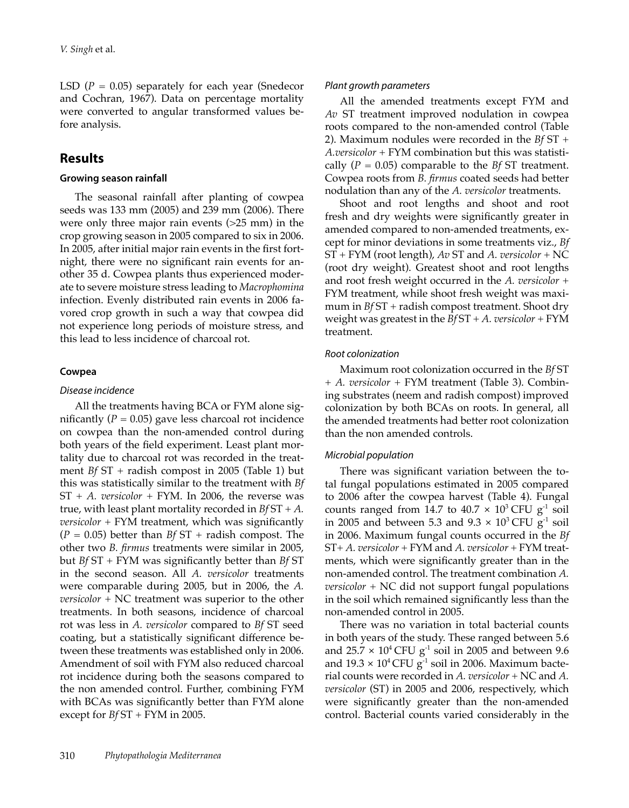LSD  $(P = 0.05)$  separately for each year (Snedecor and Cochran, 1967). Data on percentage mortality were converted to angular transformed values before analysis.

# **Results**

#### **Growing season rainfall**

The seasonal rainfall after planting of cowpea seeds was 133 mm (2005) and 239 mm (2006). There were only three major rain events (>25 mm) in the crop growing season in 2005 compared to six in 2006. In 2005, after initial major rain events in the first fortnight, there were no significant rain events for another 35 d. Cowpea plants thus experienced moderate to severe moisture stress leading to *Macrophomina* infection. Evenly distributed rain events in 2006 favored crop growth in such a way that cowpea did not experience long periods of moisture stress, and this lead to less incidence of charcoal rot.

## **Cowpea**

#### *Disease incidence*

All the treatments having BCA or FYM alone significantly  $(P = 0.05)$  gave less charcoal rot incidence on cowpea than the non-amended control during both years of the field experiment. Least plant mortality due to charcoal rot was recorded in the treatment *Bf* ST + radish compost in 2005 (Table 1) but this was statistically similar to the treatment with *Bf*   $ST + A$ . *versicolor* + FYM. In 2006, the reverse was true, with least plant mortality recorded in *Bf* ST + *A. versicolor* + FYM treatment, which was significantly (*P* = 0.05) better than *Bf* ST + radish compost. The other two *B. firmus* treatments were similar in 2005, but *Bf* ST + FYM was significantly better than *Bf* ST in the second season. All *A. versicolor* treatments were comparable during 2005, but in 2006, the *A. versicolor* + NC treatment was superior to the other treatments. In both seasons, incidence of charcoal rot was less in *A. versicolor* compared to *Bf* ST seed coating, but a statistically significant difference between these treatments was established only in 2006. Amendment of soil with FYM also reduced charcoal rot incidence during both the seasons compared to the non amended control. Further, combining FYM with BCAs was significantly better than FYM alone except for *Bf* ST + FYM in 2005.

All the amended treatments except FYM and *Av* ST treatment improved nodulation in cowpea roots compared to the non-amended control (Table 2). Maximum nodules were recorded in the *Bf* ST + *A.versicolor* + FYM combination but this was statistically  $(P = 0.05)$  comparable to the *Bf* ST treatment. Cowpea roots from *B. firmus* coated seeds had better nodulation than any of the *A. versicolor* treatments.

Shoot and root lengths and shoot and root fresh and dry weights were significantly greater in amended compared to non-amended treatments, except for minor deviations in some treatments viz., *Bf*  ST + FYM (root length), *Av* ST and *A. versicolor* + NC (root dry weight). Greatest shoot and root lengths and root fresh weight occurred in the *A. versicolor* + FYM treatment, while shoot fresh weight was maximum in *Bf* ST + radish compost treatment. Shoot dry weight was greatest in the *Bf* ST + *A. versicolor* + FYM treatment.

#### *Root colonization*

Maximum root colonization occurred in the *Bf* ST + *A. versicolor* + FYM treatment (Table 3). Combining substrates (neem and radish compost) improved colonization by both BCAs on roots. In general, all the amended treatments had better root colonization than the non amended controls.

## *Microbial population*

There was significant variation between the total fungal populations estimated in 2005 compared to 2006 after the cowpea harvest (Table 4). Fungal counts ranged from 14.7 to  $40.7 \times 10^3$  CFU g<sup>-1</sup> soil in 2005 and between 5.3 and  $9.3 \times 10^3$  CFU g<sup>-1</sup> soil in 2006. Maximum fungal counts occurred in the *Bf*  ST+ *A. versicolor* + FYM and *A. versicolor* + FYM treatments, which were significantly greater than in the non-amended control. The treatment combination *A. versicolor* + NC did not support fungal populations in the soil which remained significantly less than the non-amended control in 2005.

There was no variation in total bacterial counts in both years of the study. These ranged between 5.6 and  $25.7 \times 10^4$  CFU g<sup>-1</sup> soil in 2005 and between 9.6 and  $19.3 \times 10^4$  CFU g<sup>-1</sup> soil in 2006. Maximum bacterial counts were recorded in *A. versicolor* + NC and *A. versicolor* (ST) in 2005 and 2006, respectively, which were significantly greater than the non-amended control. Bacterial counts varied considerably in the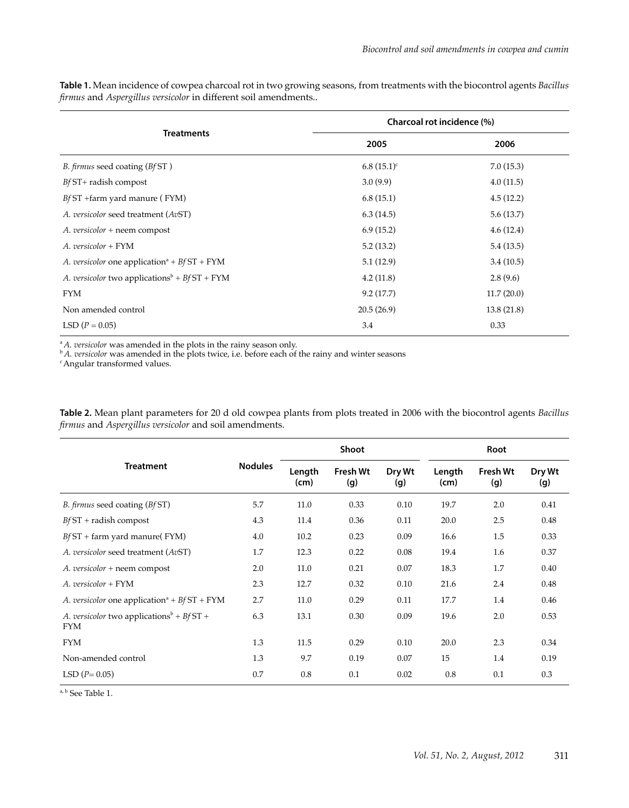**Table 1.** Mean incidence of cowpea charcoal rot in two growing seasons, from treatments with the biocontrol agents *Bacillus firmus* and *Aspergillus versicolor* in different soil amendments..

|                                                              | Charcoal rot incidence (%) |            |  |  |  |
|--------------------------------------------------------------|----------------------------|------------|--|--|--|
| <b>Treatments</b>                                            | 2005                       | 2006       |  |  |  |
| B. firmus seed coating (Bf ST)                               | $6.8(15.1)^c$              | 7.0(15.3)  |  |  |  |
| $BfST$ + radish compost                                      | 3.0(9.9)                   | 4.0(11.5)  |  |  |  |
| $BfST$ +farm yard manure ( $FYM$ )                           | 6.8(15.1)                  | 4.5(12.2)  |  |  |  |
| A. versicolor seed treatment (AvST)                          | 6.3(14.5)                  | 5.6(13.7)  |  |  |  |
| A. versicolor + neem compost                                 | 6.9(15.2)                  | 4.6(12.4)  |  |  |  |
| $A.$ versicolor + $FYM$                                      | 5.2(13.2)                  | 5.4(13.5)  |  |  |  |
| A. versicolor one application <sup>a</sup> + $BfST$ + $FYM$  | 5.1(12.9)                  | 3.4(10.5)  |  |  |  |
| A. versicolor two applications <sup>b</sup> + $BfST$ + $FYM$ | 4.2(11.8)                  | 2.8(9.6)   |  |  |  |
| <b>FYM</b>                                                   | 9.2(17.7)                  | 11.7(20.0) |  |  |  |
| Non amended control                                          | 20.5(26.9)                 | 13.8(21.8) |  |  |  |
| LSD $(P = 0.05)$                                             | 3.4                        | 0.33       |  |  |  |

<sup>a</sup>*A. versicolor* was amended in the plots in the rainy season only.

<sup>b</sup>*A. versicolor* was amended in the plots twice, i.e. before each of the rainy and winter seasons

c Angular transformed values.

**Table 2.** Mean plant parameters for 20 d old cowpea plants from plots treated in 2006 with the biocontrol agents *Bacillus firmus* and *Aspergillus versicolor* and soil amendments.

|                                                                     | <b>Nodules</b> |                | <b>Shoot</b>    |               | Root           |                 |               |
|---------------------------------------------------------------------|----------------|----------------|-----------------|---------------|----------------|-----------------|---------------|
| <b>Treatment</b>                                                    |                | Length<br>(cm) | Fresh Wt<br>(g) | Dry Wt<br>(g) | Length<br>(cm) | Fresh Wt<br>(g) | Dry Wt<br>(g) |
| B. firmus seed coating (Bf ST)                                      | 5.7            | 11.0           | 0.33            | 0.10          | 19.7           | 2.0             | 0.41          |
| $BfST$ + radish compost                                             | 4.3            | 11.4           | 0.36            | 0.11          | 20.0           | 2.5             | 0.48          |
| $BfST + farm$ yard manure( $FYM$ )                                  | 4.0            | 10.2           | 0.23            | 0.09          | 16.6           | 1.5             | 0.33          |
| A. versicolor seed treatment (AvST)                                 | 1.7            | 12.3           | 0.22            | 0.08          | 19.4           | 1.6             | 0.37          |
| A. versicolor + neem compost                                        | 2.0            | 11.0           | 0.21            | 0.07          | 18.3           | 1.7             | 0.40          |
| $A.$ versicolor + $FYM$                                             | 2.3            | 12.7           | 0.32            | 0.10          | 21.6           | 2.4             | 0.48          |
| A. versicolor one application <sup>a</sup> + $BfST$ + $FYM$         | 2.7            | 11.0           | 0.29            | 0.11          | 17.7           | 1.4             | 0.46          |
| A. versicolor two applications <sup>b</sup> + Bf ST +<br><b>FYM</b> | 6.3            | 13.1           | 0.30            | 0.09          | 19.6           | 2.0             | 0.53          |
| <b>FYM</b>                                                          | 1.3            | 11.5           | 0.29            | 0.10          | 20.0           | 2.3             | 0.34          |
| Non-amended control                                                 | 1.3            | 9.7            | 0.19            | 0.07          | 15             | 1.4             | 0.19          |
| LSD $(P = 0.05)$                                                    | 0.7            | 0.8            | 0.1             | 0.02          | 0.8            | 0.1             | 0.3           |

a, b See Table 1.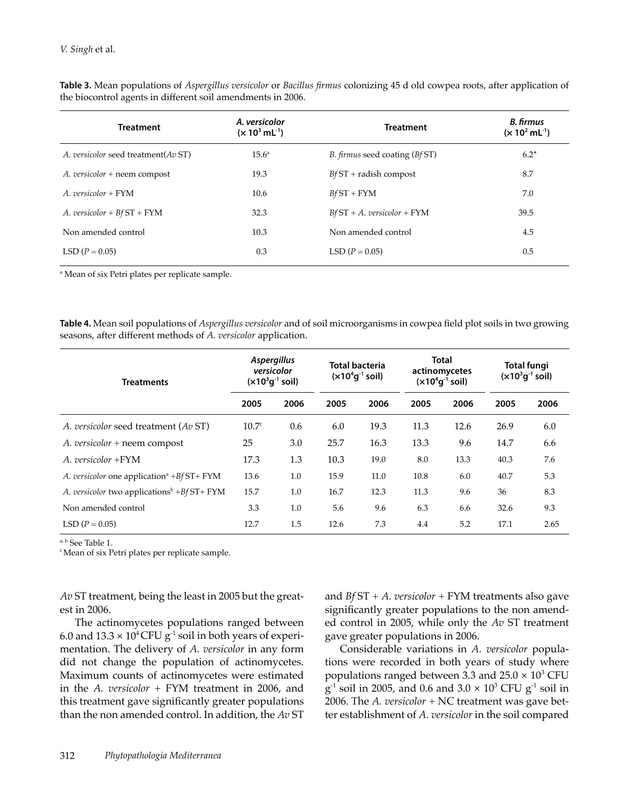| <b>Treatment</b>                    | A. versicolor<br>$(x 10^3 \text{ mL}^{-1})$ |                                | <b>B.</b> firmus<br>$(x 10^2 mL^{-1})$ |
|-------------------------------------|---------------------------------------------|--------------------------------|----------------------------------------|
| A. versicolor seed treatment(Av ST) | $15.6^{\circ}$                              | B. firmus seed coating (Bf ST) | $6.2*$                                 |
| A. versicolor + neem compost        | 19.3                                        | $BfST +$ radish compost        | 8.7                                    |
| $A.$ versicolor + $\text{FYM}$      | 10.6                                        | $BfST + FYM$                   | 7.0                                    |
| $A.$ versicolor + $BfST + FYM$      | 32.3                                        | $BfST + A.$ versicolor + $FYM$ | 39.5                                   |
| Non amended control                 | 10.3                                        | Non amended control            | 4.5                                    |
| LSD $(P = 0.05)$                    | 0.3                                         | LSD $(P = 0.05)$               | 0.5                                    |

**Table 3.** Mean populations of *Aspergillus versicolor* or *Bacillus firmus* colonizing 45 d old cowpea roots, after application of the biocontrol agents in different soil amendments in 2006.

a Mean of six Petri plates per replicate sample.

**Table 4.** Mean soil populations of *Aspergillus versicolor* and of soil microorganisms in cowpea field plot soils in two growing seasons, after different methods of *A. versicolor* application.

| <b>Treatments</b>                                        | <b>Aspergillus</b><br>versicolor<br>$(x10^3 g^{-1}$ soil) |      | Total bacteria<br>$(x104g-1$ soil) |      | <b>Total</b><br>actinomycetes<br>$(x10^4 g^{-1} \text{ soil})$ |      | <b>Total fungi</b><br>$(x10^3 g^{-1} \text{ soil})$ |      |
|----------------------------------------------------------|-----------------------------------------------------------|------|------------------------------------|------|----------------------------------------------------------------|------|-----------------------------------------------------|------|
|                                                          | 2005                                                      | 2006 | 2005                               | 2006 | 2005                                                           | 2006 | 2005                                                | 2006 |
| A. versicolor seed treatment (Av ST)                     | 10.7 <sup>c</sup>                                         | 0.6  | 6.0                                | 19.3 | 11.3                                                           | 12.6 | 26.9                                                | 6.0  |
| A. versicolor + neem compost                             | 25                                                        | 3.0  | 25.7                               | 16.3 | 13.3                                                           | 9.6  | 14.7                                                | 6.6  |
| A. versicolor +FYM                                       | 17.3                                                      | 1.3  | 10.3                               | 19.0 | 8.0                                                            | 13.3 | 40.3                                                | 7.6  |
| A. versicolor one application <sup>a</sup> $+BfST + FYM$ | 13.6                                                      | 1.0  | 15.9                               | 11.0 | 10.8                                                           | 6.0  | 40.7                                                | 5.3  |
| A. versicolor two applications <sup>b</sup> +Bf ST+ FYM  | 15.7                                                      | 1.0  | 16.7                               | 12.3 | 11.3                                                           | 9.6  | 36                                                  | 8.3  |
| Non amended control                                      | 3.3                                                       | 1.0  | 5.6                                | 9.6  | 6.3                                                            | 6.6  | 32.6                                                | 9.3  |
| LSD $(P = 0.05)$                                         | 12.7                                                      | 1.5  | 12.6                               | 7.3  | 4.4                                                            | 5.2  | 17.1                                                | 2.65 |

a, b See Table 1.

c Mean of six Petri plates per replicate sample.

*Av* ST treatment, being the least in 2005 but the greatest in 2006.

The actinomycetes populations ranged between 6.0 and  $13.3 \times 10^4$  CFU g<sup>-1</sup> soil in both years of experimentation. The delivery of *A. versicolor* in any form did not change the population of actinomycetes. Maximum counts of actinomycetes were estimated in the *A. versicolor* + FYM treatment in 2006, and this treatment gave significantly greater populations than the non amended control. In addition, the *Av* ST and *Bf* ST + *A. versicolor* + FYM treatments also gave significantly greater populations to the non amended control in 2005, while only the *Av* ST treatment gave greater populations in 2006.

Considerable variations in *A. versicolor* populations were recorded in both years of study where populations ranged between 3.3 and  $25.0 \times 10^3$  CFU  $g^{-1}$  soil in 2005, and 0.6 and 3.0  $\times$  10<sup>3</sup> CFU  $g^{-1}$  soil in 2006. The *A. versicolor* + NC treatment was gave better establishment of *A. versicolor* in the soil compared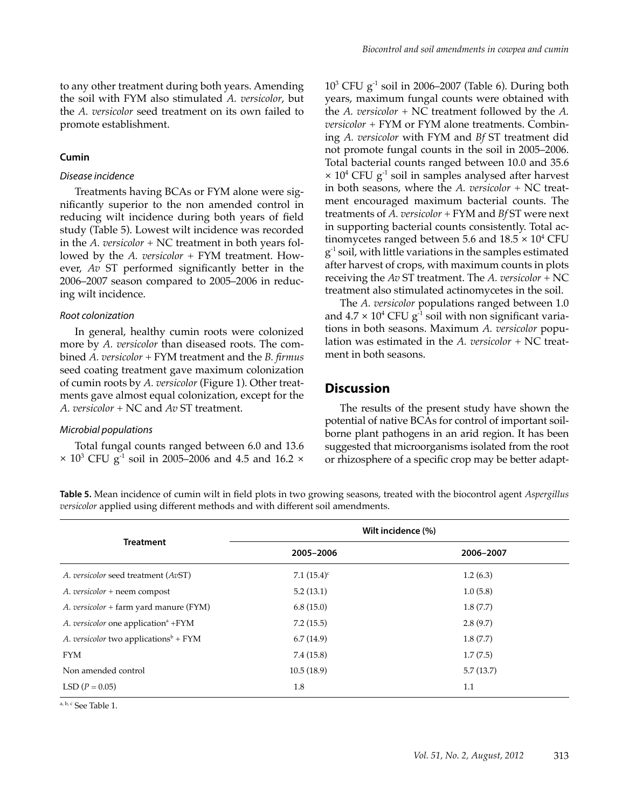to any other treatment during both years. Amending the soil with FYM also stimulated *A. versicolor*, but the *A. versicolor* seed treatment on its own failed to promote establishment.

#### **Cumin**

#### *Disease incidence*

Treatments having BCAs or FYM alone were significantly superior to the non amended control in reducing wilt incidence during both years of field study (Table 5). Lowest wilt incidence was recorded in the *A. versicolor* + NC treatment in both years followed by the *A. versicolor* + FYM treatment. However, *Av* ST performed significantly better in the 2006‒2007 season compared to 2005‒2006 in reducing wilt incidence.

#### *Root colonization*

In general, healthy cumin roots were colonized more by *A. versicolor* than diseased roots. The combined *A. versicolor* + FYM treatment and the *B. firmus* seed coating treatment gave maximum colonization of cumin roots by *A. versicolor* (Figure 1). Other treatments gave almost equal colonization, except for the *A. versicolor* + NC and *Av* ST treatment.

#### *Microbial populations*

Total fungal counts ranged between 6.0 and 13.6  $\times$  10<sup>3</sup> CFU g<sup>-1</sup> soil in 2005–2006 and 4.5 and 16.2  $\times$   $10<sup>3</sup>$  CFU g<sup>-1</sup> soil in 2006–2007 (Table 6). During both years, maximum fungal counts were obtained with the *A. versicolor* + NC treatment followed by the *A. versicolor* + FYM or FYM alone treatments. Combining *A. versicolor* with FYM and *Bf* ST treatment did not promote fungal counts in the soil in 2005–2006. Total bacterial counts ranged between 10.0 and 35.6  $\times$  10<sup>4</sup> CFU g<sup>-1</sup> soil in samples analysed after harvest in both seasons, where the *A. versicolor* + NC treatment encouraged maximum bacterial counts. The treatments of *A. versicolor* + FYM and *Bf* ST were next in supporting bacterial counts consistently. Total actinomycetes ranged between 5.6 and  $18.5 \times 10^4$  CFU  $g^{-1}$  soil, with little variations in the samples estimated after harvest of crops, with maximum counts in plots receiving the *Av* ST treatment. The *A. versicolor* + NC treatment also stimulated actinomycetes in the soil.

The *A. versicolor* populations ranged between 1.0 and  $4.7 \times 10^4$  CFU g<sup>-1</sup> soil with non significant variations in both seasons. Maximum *A. versicolor* population was estimated in the *A. versicolor* + NC treatment in both seasons.

# **Discussion**

The results of the present study have shown the potential of native BCAs for control of important soilborne plant pathogens in an arid region. It has been suggested that microorganisms isolated from the root or rhizosphere of a specific crop may be better adapt-

**Table 5.** Mean incidence of cumin wilt in field plots in two growing seasons, treated with the biocontrol agent *Aspergillus versicolor* applied using different methods and with different soil amendments.

| <b>Treatment</b>                                          | Wilt incidence (%) |           |  |  |  |
|-----------------------------------------------------------|--------------------|-----------|--|--|--|
|                                                           | 2005-2006          | 2006-2007 |  |  |  |
| A. versicolor seed treatment (AvST)                       | 7.1 $(15.4)^c$     | 1.2(6.3)  |  |  |  |
| A. versicolor + neem compost                              | 5.2(13.1)          | 1.0(5.8)  |  |  |  |
| A. versicolor + farm yard manure (FYM)                    | 6.8(15.0)          | 1.8(7.7)  |  |  |  |
| A. versicolor one application <sup>a</sup> + $\text{FYM}$ | 7.2(15.5)          | 2.8(9.7)  |  |  |  |
| A. versicolor two applications <sup>b</sup> + FYM         | 6.7(14.9)          | 1.8(7.7)  |  |  |  |
| <b>FYM</b>                                                | 7.4(15.8)          | 1.7(7.5)  |  |  |  |
| Non amended control                                       | 10.5(18.9)         | 5.7(13.7) |  |  |  |
| LSD $(P = 0.05)$                                          | 1.8                | 1.1       |  |  |  |

a, b, c See Table 1.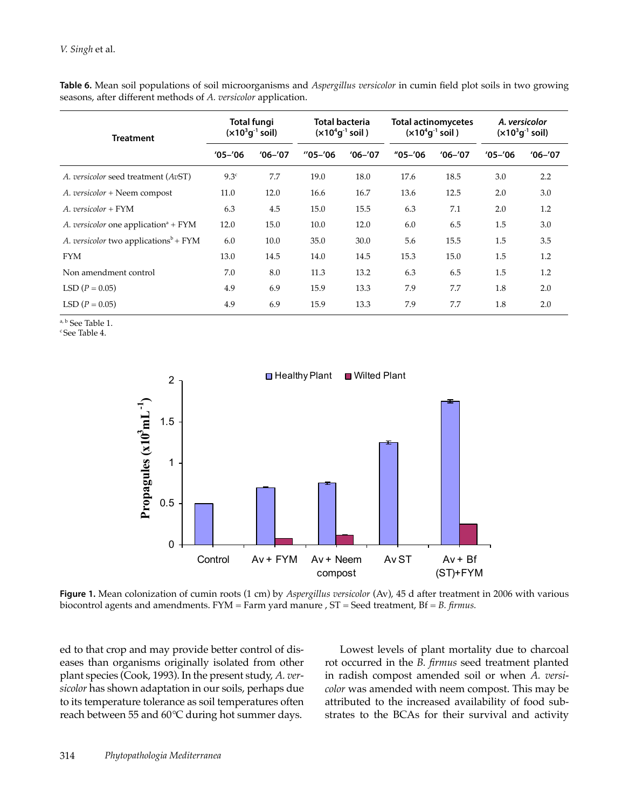**Table 6.** Mean soil populations of soil microorganisms and *Aspergillus versicolor* in cumin field plot soils in two growing seasons, after different methods of *A. versicolor* application.

| <b>Treatment</b>                                    | <b>Total fungi</b><br>$(x10^{3}q^{-1}$ soil) |             | Total bacteria<br>$(x104q-1$ soil)   |             | Total actinomycetes<br>$(x104q-1$ soil) |             | A. versicolor<br>$(x10^3 g^{-1}$ soil) |             |
|-----------------------------------------------------|----------------------------------------------|-------------|--------------------------------------|-------------|-----------------------------------------|-------------|----------------------------------------|-------------|
|                                                     | $'05 - '06$                                  | $'06 - '07$ | $^{\prime\prime}$ 05- $^{\prime}$ 06 | $'06 - '07$ | $^{\prime\prime}$ 05– $^{\prime}$ 06    | $'06 - '07$ | $'05 - '06$                            | $'06 - '07$ |
| A. versicolor seed treatment (AvST)                 | 9.3 <sup>c</sup>                             | 7.7         | 19.0                                 | 18.0        | 17.6                                    | 18.5        | 3.0                                    | 2.2         |
| A. versicolor + Neem compost                        | 11.0                                         | 12.0        | 16.6                                 | 16.7        | 13.6                                    | 12.5        | 2.0                                    | 3.0         |
| $A.$ versicolor + $\text{FYM}$                      | 6.3                                          | 4.5         | 15.0                                 | 15.5        | 6.3                                     | 7.1         | 2.0                                    | 1.2         |
| A. versicolor one application <sup>a</sup> + $FYM$  | 12.0                                         | 15.0        | 10.0                                 | 12.0        | 6.0                                     | 6.5         | 1.5                                    | 3.0         |
| A. versicolor two applications <sup>b</sup> + $FYM$ | 6.0                                          | 10.0        | 35.0                                 | 30.0        | 5.6                                     | 15.5        | 1.5                                    | 3.5         |
| <b>FYM</b>                                          | 13.0                                         | 14.5        | 14.0                                 | 14.5        | 15.3                                    | 15.0        | 1.5                                    | 1.2         |
| Non amendment control                               | 7.0                                          | 8.0         | 11.3                                 | 13.2        | 6.3                                     | 6.5         | 1.5                                    | 1.2         |
| LSD $(P = 0.05)$                                    | 4.9                                          | 6.9         | 15.9                                 | 13.3        | 7.9                                     | 7.7         | 1.8                                    | 2.0         |
| LSD $(P = 0.05)$                                    | 4.9                                          | 6.9         | 15.9                                 | 13.3        | 7.9                                     | 7.7         | 1.8                                    | 2.0         |

a, b See Table 1.

c See Table 4.



**Figure 1.** Mean colonization of cumin roots (1 cm) by *Aspergillus versicolor* (Av), 45 d after treatment in 2006 with various biocontrol agents and amendments. FYM = Farm yard manure , ST = Seed treatment, Bf = *B. firmus.*

ed to that crop and may provide better control of diseases than organisms originally isolated from other plant species (Cook, 1993). In the present study, *A. versicolor* has shown adaptation in our soils, perhaps due to its temperature tolerance as soil temperatures often reach between 55 and 60*°*C during hot summer days.

Lowest levels of plant mortality due to charcoal rot occurred in the *B. firmus* seed treatment planted in radish compost amended soil or when *A. versicolor* was amended with neem compost. This may be attributed to the increased availability of food substrates to the BCAs for their survival and activity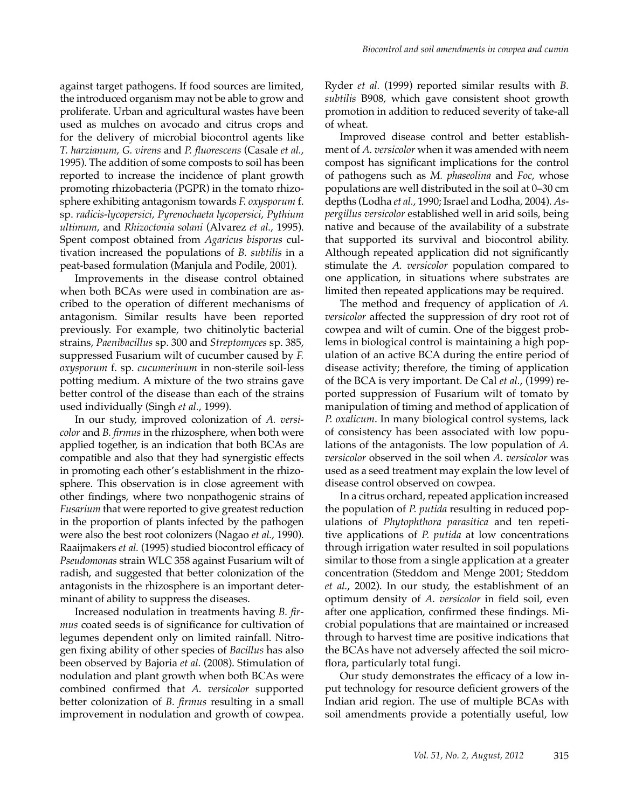against target pathogens. If food sources are limited, the introduced organism may not be able to grow and proliferate. Urban and agricultural wastes have been used as mulches on avocado and citrus crops and for the delivery of microbial biocontrol agents like *T. harzianum*, *G. virens* and *P. fluorescens* (Casale *et al.*, 1995). The addition of some composts to soil has been reported to increase the incidence of plant growth promoting rhizobacteria (PGPR) in the tomato rhizosphere exhibiting antagonism towards *F. oxysporum* f. sp. *radicis-lycopersici*, *Pyrenochaeta lycopersici*, *Pythium ultimum*, and *Rhizoctonia solani* (Alvarez *et al.*, 1995). Spent compost obtained from *Agaricus bisporus* cultivation increased the populations of *B. subtilis* in a peat-based formulation (Manjula and Podile, 2001).

Improvements in the disease control obtained when both BCAs were used in combination are ascribed to the operation of different mechanisms of antagonism. Similar results have been reported previously. For example, two chitinolytic bacterial strains, *Paenibacillus* sp. 300 and *Streptomyces* sp. 385, suppressed Fusarium wilt of cucumber caused by *F. oxysporum* f. sp. *cucumerinum* in non-sterile soil-less potting medium. A mixture of the two strains gave better control of the disease than each of the strains used individually (Singh *et al.*, 1999).

In our study, improved colonization of *A. versicolor* and *B. firmus* in the rhizosphere, when both were applied together, is an indication that both BCAs are compatible and also that they had synergistic effects in promoting each other's establishment in the rhizosphere. This observation is in close agreement with other findings, where two nonpathogenic strains of *Fusarium* that were reported to give greatest reduction in the proportion of plants infected by the pathogen were also the best root colonizers (Nagao *et al.*, 1990). Raaijmakers *et al.* (1995) studied biocontrol efficacy of *Pseudomonas* strain WLC 358 against Fusarium wilt of radish, and suggested that better colonization of the antagonists in the rhizosphere is an important determinant of ability to suppress the diseases.

Increased nodulation in treatments having *B. firmus* coated seeds is of significance for cultivation of legumes dependent only on limited rainfall. Nitrogen fixing ability of other species of *Bacillus* has also been observed by Bajoria *et al.* (2008). Stimulation of nodulation and plant growth when both BCAs were combined confirmed that *A. versicolor* supported better colonization of *B. firmus* resulting in a small improvement in nodulation and growth of cowpea.

Ryder *et al.* (1999) reported similar results with *B. subtilis* B908, which gave consistent shoot growth promotion in addition to reduced severity of take-all of wheat.

Improved disease control and better establishment of *A. versicolor* when it was amended with neem compost has significant implications for the control of pathogens such as *M. phaseolina* and *Foc*, whose populations are well distributed in the soil at 0‒30 cm depths (Lodha *et al.*, 1990; Israel and Lodha, 2004). *Aspergillus versicolor* established well in arid soils, being native and because of the availability of a substrate that supported its survival and biocontrol ability. Although repeated application did not significantly stimulate the *A. versicolor* population compared to one application, in situations where substrates are limited then repeated applications may be required.

The method and frequency of application of *A. versicolor* affected the suppression of dry root rot of cowpea and wilt of cumin. One of the biggest problems in biological control is maintaining a high population of an active BCA during the entire period of disease activity; therefore, the timing of application of the BCA is very important. De Cal *et al.*, (1999) reported suppression of Fusarium wilt of tomato by manipulation of timing and method of application of *P. oxalicum*. In many biological control systems, lack of consistency has been associated with low populations of the antagonists. The low population of *A. versicolor* observed in the soil when *A. versicolor* was used as a seed treatment may explain the low level of disease control observed on cowpea.

In a citrus orchard, repeated application increased the population of *P. putida* resulting in reduced populations of *Phytophthora parasitica* and ten repetitive applications of *P. putida* at low concentrations through irrigation water resulted in soil populations similar to those from a single application at a greater concentration (Steddom and Menge 2001; Steddom *et al.*, 2002). In our study, the establishment of an optimum density of *A. versicolor* in field soil, even after one application, confirmed these findings. Microbial populations that are maintained or increased through to harvest time are positive indications that the BCAs have not adversely affected the soil microflora, particularly total fungi.

Our study demonstrates the efficacy of a low input technology for resource deficient growers of the Indian arid region. The use of multiple BCAs with soil amendments provide a potentially useful, low